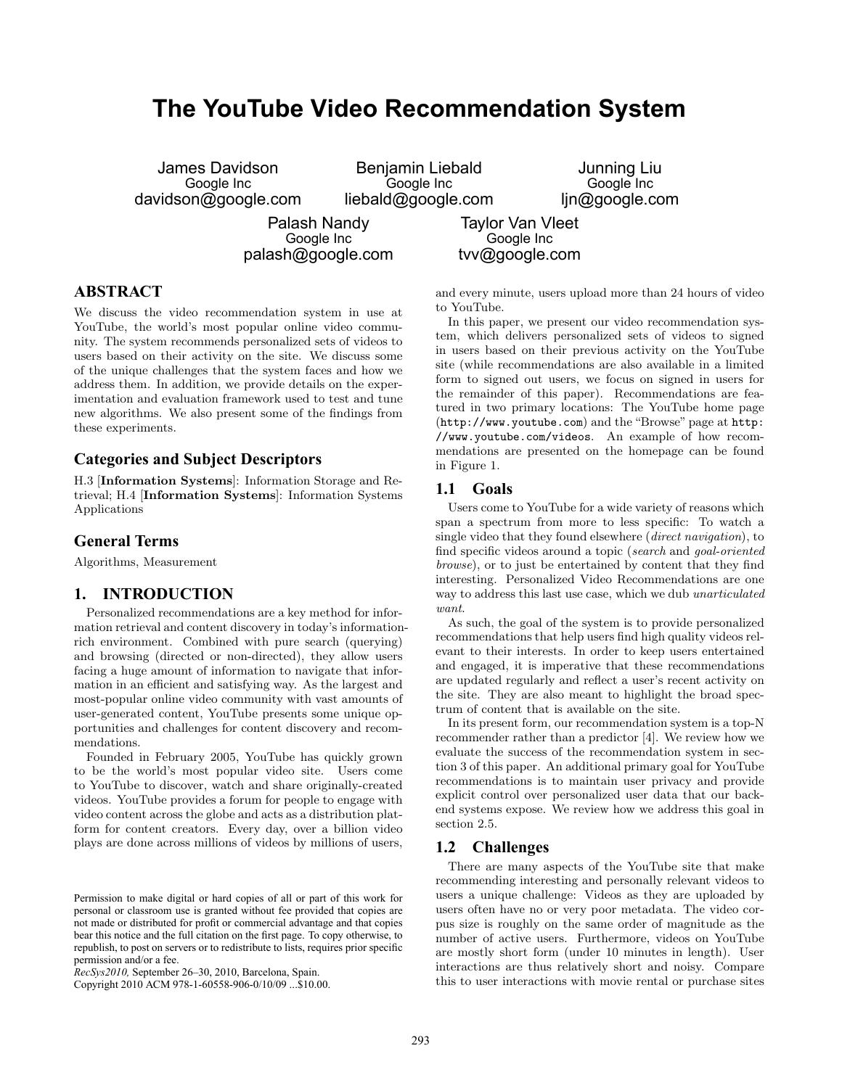# **The YouTube Video Recommendation System**

| James Davidson      | Benjamin Liebald   | Junning Liu    |
|---------------------|--------------------|----------------|
| Google Inc          | Google Inc         | Google Inc     |
| davidson@google.com | liebald@google.com | ljn@google.com |
|                     |                    |                |

Palash Nandy Google Inc palash@google.com

Taylor Van Vleet Google Inc tvv@google.com

# **ABSTRACT**

We discuss the video recommendation system in use at YouTube, the world's most popular online video community. The system recommends personalized sets of videos to users based on their activity on the site. We discuss some of the unique challenges that the system faces and how we address them. In addition, we provide details on the experimentation and evaluation framework used to test and tune new algorithms. We also present some of the findings from these experiments.

## **Categories and Subject Descriptors**

H.3 [Information Systems]: Information Storage and Retrieval; H.4 [Information Systems]: Information Systems Applications

#### **General Terms**

Algorithms, Measurement

#### **1. INTRODUCTION**

Personalized recommendations are a key method for information retrieval and content discovery in today's informationrich environment. Combined with pure search (querying) and browsing (directed or non-directed), they allow users facing a huge amount of information to navigate that information in an efficient and satisfying way. As the largest and most-popular online video community with vast amounts of user-generated content, YouTube presents some unique opportunities and challenges for content discovery and recommendations.

Founded in February 2005, YouTube has quickly grown to be the world's most popular video site. Users come to YouTube to discover, watch and share originally-created videos. YouTube provides a forum for people to engage with video content across the globe and acts as a distribution platform for content creators. Every day, over a billion video plays are done across millions of videos by millions of users,

and every minute, users upload more than 24 hours of video to YouTube.

In this paper, we present our video recommendation system, which delivers personalized sets of videos to signed in users based on their previous activity on the YouTube site (while recommendations are also available in a limited form to signed out users, we focus on signed in users for the remainder of this paper). Recommendations are featured in two primary locations: The YouTube home page (http://www.youtube.com) and the "Browse" page at http: //www.youtube.com/videos. An example of how recommendations are presented on the homepage can be found in Figure 1.

#### **1.1 Goals**

Users come to YouTube for a wide variety of reasons which span a spectrum from more to less specific: To watch a single video that they found elsewhere (direct navigation), to find specific videos around a topic (search and goal-oriented browse), or to just be entertained by content that they find interesting. Personalized Video Recommendations are one way to address this last use case, which we dub *unarticulated* want.

As such, the goal of the system is to provide personalized recommendations that help users find high quality videos relevant to their interests. In order to keep users entertained and engaged, it is imperative that these recommendations are updated regularly and reflect a user's recent activity on the site. They are also meant to highlight the broad spectrum of content that is available on the site.

In its present form, our recommendation system is a top-N recommender rather than a predictor [4]. We review how we evaluate the success of the recommendation system in section 3 of this paper. An additional primary goal for YouTube recommendations is to maintain user privacy and provide explicit control over personalized user data that our backend systems expose. We review how we address this goal in section 2.5.

#### **1.2 Challenges**

There are many aspects of the YouTube site that make recommending interesting and personally relevant videos to users a unique challenge: Videos as they are uploaded by users often have no or very poor metadata. The video corpus size is roughly on the same order of magnitude as the number of active users. Furthermore, videos on YouTube are mostly short form (under 10 minutes in length). User interactions are thus relatively short and noisy. Compare this to user interactions with movie rental or purchase sites

Permission to make digital or hard copies of all or part of this work for personal or classroom use is granted without fee provided that copies are not made or distributed for profit or commercial advantage and that copies bear this notice and the full citation on the first page. To copy otherwise, to republish, to post on servers or to redistribute to lists, requires prior specific permission and/or a fee.

*RecSys2010,* September 26–30, 2010, Barcelona, Spain.

Copyright 2010 ACM 978-1-60558-906-0/10/09 ...\$10.00.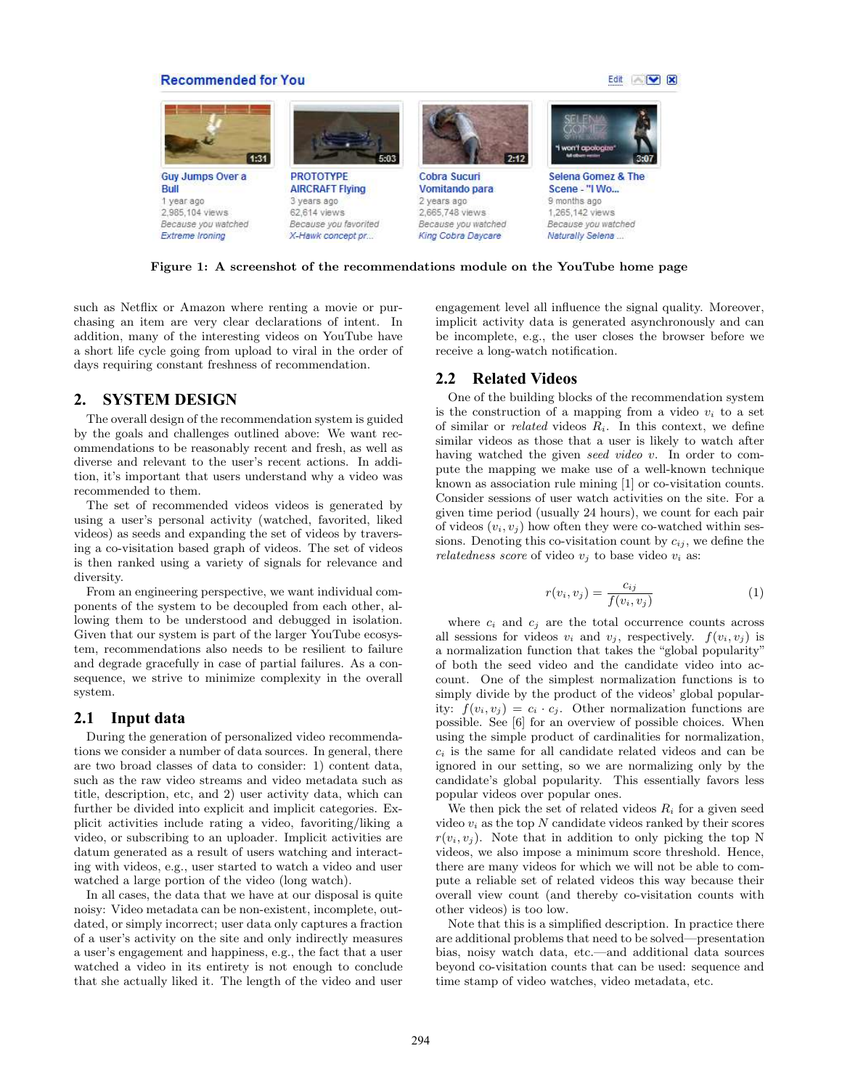#### **Recommended for You**





Figure 1: A screenshot of the recommendations module on the YouTube home page

such as Netflix or Amazon where renting a movie or purchasing an item are very clear declarations of intent. In addition, many of the interesting videos on YouTube have a short life cycle going from upload to viral in the order of days requiring constant freshness of recommendation.

# **2. SYSTEM DESIGN**

The overall design of the recommendation system is guided by the goals and challenges outlined above: We want recommendations to be reasonably recent and fresh, as well as diverse and relevant to the user's recent actions. In addition, it's important that users understand why a video was recommended to them.

The set of recommended videos videos is generated by using a user's personal activity (watched, favorited, liked videos) as seeds and expanding the set of videos by traversing a co-visitation based graph of videos. The set of videos is then ranked using a variety of signals for relevance and diversity.

From an engineering perspective, we want individual components of the system to be decoupled from each other, allowing them to be understood and debugged in isolation. Given that our system is part of the larger YouTube ecosystem, recommendations also needs to be resilient to failure and degrade gracefully in case of partial failures. As a consequence, we strive to minimize complexity in the overall system.

#### **2.1 Input data**

During the generation of personalized video recommendations we consider a number of data sources. In general, there are two broad classes of data to consider: 1) content data, such as the raw video streams and video metadata such as title, description, etc, and 2) user activity data, which can further be divided into explicit and implicit categories. Explicit activities include rating a video, favoriting/liking a video, or subscribing to an uploader. Implicit activities are datum generated as a result of users watching and interacting with videos, e.g., user started to watch a video and user watched a large portion of the video (long watch).

In all cases, the data that we have at our disposal is quite noisy: Video metadata can be non-existent, incomplete, outdated, or simply incorrect; user data only captures a fraction of a user's activity on the site and only indirectly measures a user's engagement and happiness, e.g., the fact that a user watched a video in its entirety is not enough to conclude that she actually liked it. The length of the video and user engagement level all influence the signal quality. Moreover, implicit activity data is generated asynchronously and can be incomplete, e.g., the user closes the browser before we receive a long-watch notification.

## **2.2 Related Videos**

One of the building blocks of the recommendation system is the construction of a mapping from a video  $v_i$  to a set of similar or *related* videos  $R_i$ . In this context, we define similar videos as those that a user is likely to watch after having watched the given seed video v. In order to compute the mapping we make use of a well-known technique known as association rule mining [1] or co-visitation counts. Consider sessions of user watch activities on the site. For a given time period (usually 24 hours), we count for each pair of videos  $(v_i, v_j)$  how often they were co-watched within sessions. Denoting this co-visitation count by  $c_{ij}$ , we define the relatedness score of video  $v_i$  to base video  $v_i$  as:

$$
r(v_i, v_j) = \frac{c_{ij}}{f(v_i, v_j)}
$$
\n<sup>(1)</sup>

where  $c_i$  and  $c_j$  are the total occurrence counts across all sessions for videos  $v_i$  and  $v_j$ , respectively.  $f(v_i, v_j)$  is a normalization function that takes the "global popularity" of both the seed video and the candidate video into account. One of the simplest normalization functions is to simply divide by the product of the videos' global popularity:  $f(v_i, v_j) = c_i \cdot c_j$ . Other normalization functions are possible. See [6] for an overview of possible choices. When using the simple product of cardinalities for normalization,  $c_i$  is the same for all candidate related videos and can be ignored in our setting, so we are normalizing only by the candidate's global popularity. This essentially favors less popular videos over popular ones.

We then pick the set of related videos  $R_i$  for a given seed video  $v_i$  as the top N candidate videos ranked by their scores  $r(v_i, v_j)$ . Note that in addition to only picking the top N videos, we also impose a minimum score threshold. Hence, there are many videos for which we will not be able to compute a reliable set of related videos this way because their overall view count (and thereby co-visitation counts with other videos) is too low.

Note that this is a simplified description. In practice there are additional problems that need to be solved—presentation bias, noisy watch data, etc.—and additional data sources beyond co-visitation counts that can be used: sequence and time stamp of video watches, video metadata, etc.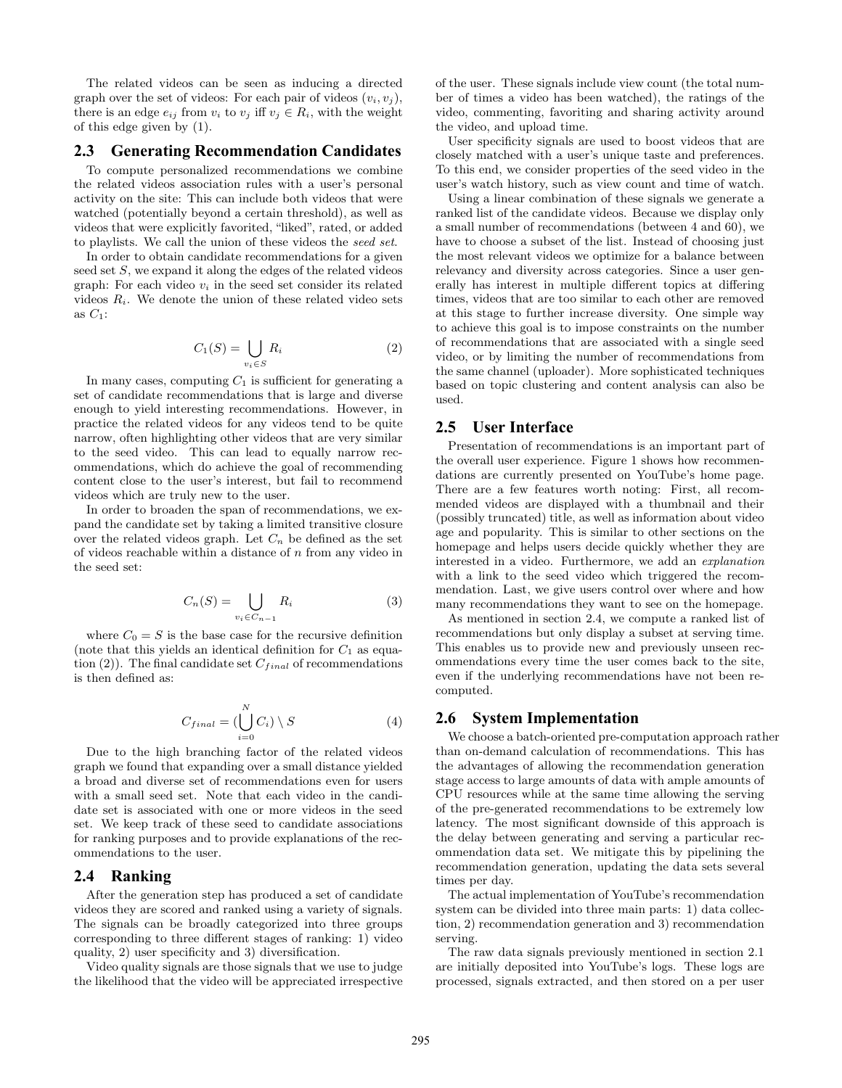The related videos can be seen as inducing a directed graph over the set of videos: For each pair of videos  $(v_i, v_j)$ , there is an edge  $e_{ij}$  from  $v_i$  to  $v_j$  iff  $v_j \in R_i$ , with the weight of this edge given by (1).

#### **2.3 Generating Recommendation Candidates**

To compute personalized recommendations we combine the related videos association rules with a user's personal activity on the site: This can include both videos that were watched (potentially beyond a certain threshold), as well as videos that were explicitly favorited, "liked", rated, or added to playlists. We call the union of these videos the seed set.

In order to obtain candidate recommendations for a given seed set S, we expand it along the edges of the related videos graph: For each video  $v_i$  in the seed set consider its related videos  $R_i$ . We denote the union of these related video sets as  $C_1$ :

$$
C_1(S) = \bigcup_{v_i \in S} R_i \tag{2}
$$

In many cases, computing  $C_1$  is sufficient for generating a set of candidate recommendations that is large and diverse enough to yield interesting recommendations. However, in practice the related videos for any videos tend to be quite narrow, often highlighting other videos that are very similar to the seed video. This can lead to equally narrow recommendations, which do achieve the goal of recommending content close to the user's interest, but fail to recommend videos which are truly new to the user.

In order to broaden the span of recommendations, we expand the candidate set by taking a limited transitive closure over the related videos graph. Let  $C_n$  be defined as the set of videos reachable within a distance of  $n$  from any video in the seed set:

$$
C_n(S) = \bigcup_{v_i \in C_{n-1}} R_i \tag{3}
$$

where  $C_0 = S$  is the base case for the recursive definition (note that this yields an identical definition for  $C_1$  as equation (2)). The final candidate set  $C_{final}$  of recommendations is then defined as:

$$
C_{final} = \left(\bigcup_{i=0}^{N} C_i\right) \setminus S \tag{4}
$$

Due to the high branching factor of the related videos graph we found that expanding over a small distance yielded a broad and diverse set of recommendations even for users with a small seed set. Note that each video in the candidate set is associated with one or more videos in the seed set. We keep track of these seed to candidate associations for ranking purposes and to provide explanations of the recommendations to the user.

#### **2.4 Ranking**

After the generation step has produced a set of candidate videos they are scored and ranked using a variety of signals. The signals can be broadly categorized into three groups corresponding to three different stages of ranking: 1) video quality, 2) user specificity and 3) diversification.

Video quality signals are those signals that we use to judge the likelihood that the video will be appreciated irrespective

of the user. These signals include view count (the total number of times a video has been watched), the ratings of the video, commenting, favoriting and sharing activity around the video, and upload time.

User specificity signals are used to boost videos that are closely matched with a user's unique taste and preferences. To this end, we consider properties of the seed video in the user's watch history, such as view count and time of watch.

Using a linear combination of these signals we generate a ranked list of the candidate videos. Because we display only a small number of recommendations (between 4 and 60), we have to choose a subset of the list. Instead of choosing just the most relevant videos we optimize for a balance between relevancy and diversity across categories. Since a user generally has interest in multiple different topics at differing times, videos that are too similar to each other are removed at this stage to further increase diversity. One simple way to achieve this goal is to impose constraints on the number of recommendations that are associated with a single seed video, or by limiting the number of recommendations from the same channel (uploader). More sophisticated techniques based on topic clustering and content analysis can also be used.

## **2.5 User Interface**

Presentation of recommendations is an important part of the overall user experience. Figure 1 shows how recommendations are currently presented on YouTube's home page. There are a few features worth noting: First, all recommended videos are displayed with a thumbnail and their (possibly truncated) title, as well as information about video age and popularity. This is similar to other sections on the homepage and helps users decide quickly whether they are interested in a video. Furthermore, we add an explanation with a link to the seed video which triggered the recommendation. Last, we give users control over where and how many recommendations they want to see on the homepage.

As mentioned in section 2.4, we compute a ranked list of recommendations but only display a subset at serving time. This enables us to provide new and previously unseen recommendations every time the user comes back to the site, even if the underlying recommendations have not been recomputed.

## **2.6 System Implementation**

We choose a batch-oriented pre-computation approach rather than on-demand calculation of recommendations. This has the advantages of allowing the recommendation generation stage access to large amounts of data with ample amounts of CPU resources while at the same time allowing the serving of the pre-generated recommendations to be extremely low latency. The most significant downside of this approach is the delay between generating and serving a particular recommendation data set. We mitigate this by pipelining the recommendation generation, updating the data sets several times per day.

The actual implementation of YouTube's recommendation system can be divided into three main parts: 1) data collection, 2) recommendation generation and 3) recommendation serving.

The raw data signals previously mentioned in section 2.1 are initially deposited into YouTube's logs. These logs are processed, signals extracted, and then stored on a per user